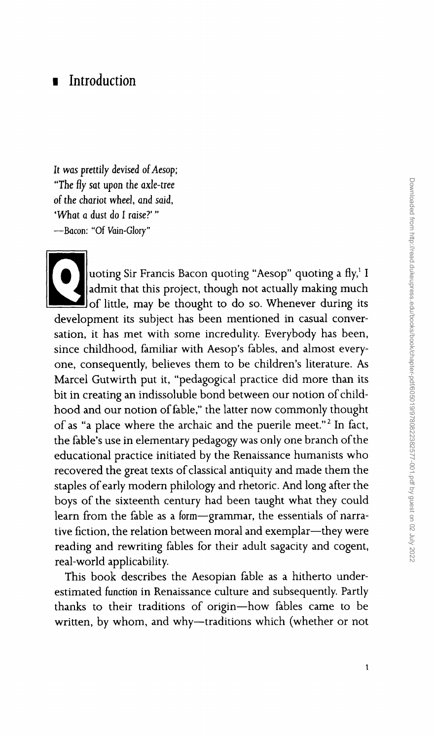## **Introduction**

It *was* prettily devised of*Aesop;* "The fly sat upon the axle-tree of the chariot wheel, and said, *'What* a dust do I raise?''' -Bacon: "Of Vain-Glory"

uoting Sir Francis Bacon quoting "Aesop" quoting a fly,<sup>1</sup> I admit that this project, though not actually making much  $\mathbb J$  of little, may be thought to do so. Whenever during its development its subject has been mentioned in casual conversation, it has met with some incredulity. Everybody has been, since childhood, familiar with Aesop's fables, and almost everyone, consequently, believes them to be children's literature. As Marcel Gutwirth put it, "pedagogical practice did more than its bit in creating an indissoluble bond between our notion of childhood and our notion of fable," the latter now commonly thought of as "a place where the archaic and the puerile meet."<sup>2</sup> In fact, the fable's use in elementary pedagogy was only one branch ofthe educational practice initiated by the Renaissance humanists who recovered the great texts of classical antiquity and made them the staples of early modern philology and rhetoric. And long after the boys of the sixteenth century had been taught what they could learn from the fable as a form-grammar, the essentials of narrative fiction, the relation between moral and exemplar-they were reading and rewriting fables for their adult sagacity and cogent, real-world applicability.

This book describes the Aesopian fable as a hitherto underestimated function in Renaissance culture and subsequently. Partly thanks to their traditions of origin-how fables came to be written, by whom, and why-traditions which (whether or not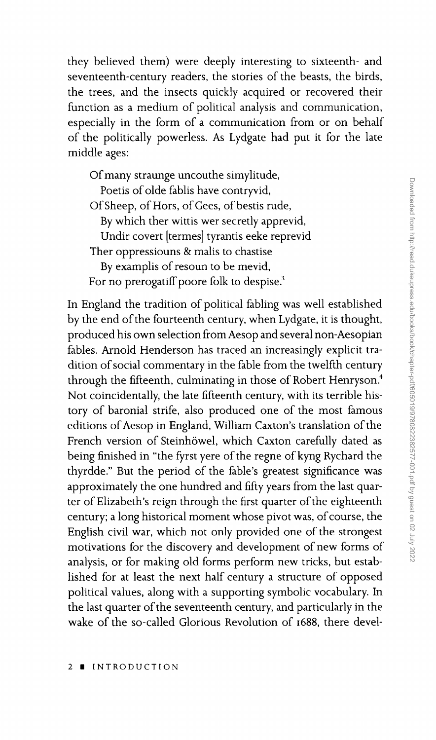they believed them) were deeply interesting to sixteenth- and seventeenth-century readers, the stories of the beasts, the birds, the trees, and the insects quickly acquired or recovered their function as a medium of political analysis and communication, especially in the form of a communication from or on behalf of the politically powerless. As Lydgate had put it for the late middle ages:

Of many straunge uncouthe simylitude, Poetis of olde fablis have contryvid, Of Sheep, of Hors, of Gees, of bestis rude, By which ther wittis wer secretly apprevid, Undir covert [termes] tyrantis eeke reprevid Ther oppressiouns & malis to chastise By examplis of resoun to be mevid, For no prerogatiff poore folk to despise.<sup>3</sup>

In England the tradition of political fabling was well established by the end of the fourteenth century, when Lydgate, it is thought, produced his own selection from Aesop and several non-Aesopian fables. Arnold Henderson has traced an increasingly explicit tradition of social commentary in the fable from the twelfth century through the fifteenth, culminating in those of Robert Henryson.<sup>4</sup> Not coincidentally, the late fifteenth century, with its terrible history of baronial strife, also produced one of the most famous editions of Aesop in England, William Caxton's translation of the French version of Steinhöwel, which Caxton carefully dated as being finished in "the fyrst yere of the regne of kyng Rychard the thyrdde." But the period of the fable's greatest significance was approximately the one hundred and fifty years from the last quarter of Elizabeth's reign through the first quarter of the eighteenth century; a long historical moment whose pivot was, of course, the English civil war, which not only provided one of the strongest motivations for the discovery and development of new forms of analysis, or for making old forms perform new tricks, but established for at least the next half century a structure of opposed political values, along with a supporting symbolic vocabulary. In the last quarter of the seventeenth century, and particularly in the wake of the so-called Glorious Revolution of 1688, there devel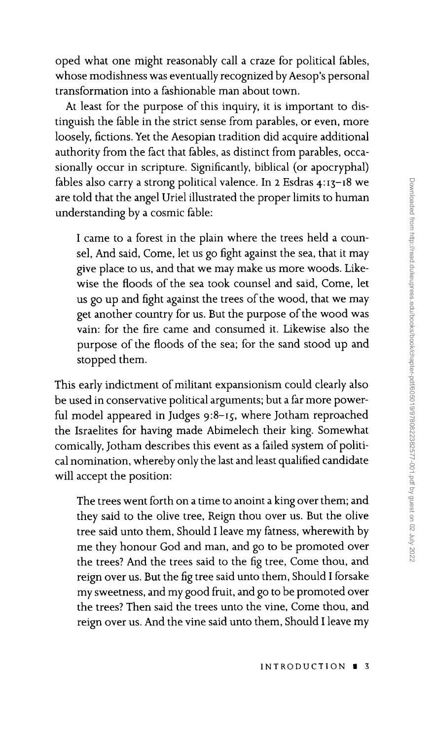oped what one might reasonably call a craze for political fables, whose modishness was eventually recognized by Aesop's personal transformation into a fashionable man about town.

At least for the purpose of this inquiry, it is important to distinguish the fable in the strict sense from parables, or even, more loosely, fictions. Yet the Aesopian tradition did acquire additional authority from the fact that fables, as distinct from parables, occasionally occur in scripture. Significantly, biblical (or apocryphal) fables also carry a strong political valence. In 2 Esdras 4: 13-18 we are told that the angel Uriel illustrated the proper limits to human understanding by a cosmic fable:

I came to a forest in the plain where the trees held a counsel, And said, Come, let us go fight against the sea, that it may give place to us, and that we may make us more woods. Likewise the floods of the sea took counsel and said, Come, let us go up and fight against the trees of the wood, that we may get another country for us. But the purpose of the wood was vain: for the fire came and consumed it. Likewise also the purpose of the floods of the sea; for the sand stood up and stopped them.

This early indictment of militant expansionism could clearly also be used in conservative political arguments; but a far more powerful model appeared in Judges 9:8-15, where Jotham reproached the Israelites for having made Abimelech their king. Somewhat comically, Jotham describes this event as a failed system of political nomination, whereby only the last and least qualified candidate will accept the position:

The trees went forth on a time to anoint a king over them; and they said to the olive tree, Reign thou over us. But the olive tree said unto them, Should I leave my fatness, wherewith by me they honour God and man, and go to be promoted over the trees? And the trees said to the fig tree, Come thou, and reign over us. But the fig tree said unto them, Should I forsake my sweetness, and my good fruit, and go to be promoted over the trees? Then said the trees unto the vine, Come thou, and reign over us. And the vine said unto them, Should I leave my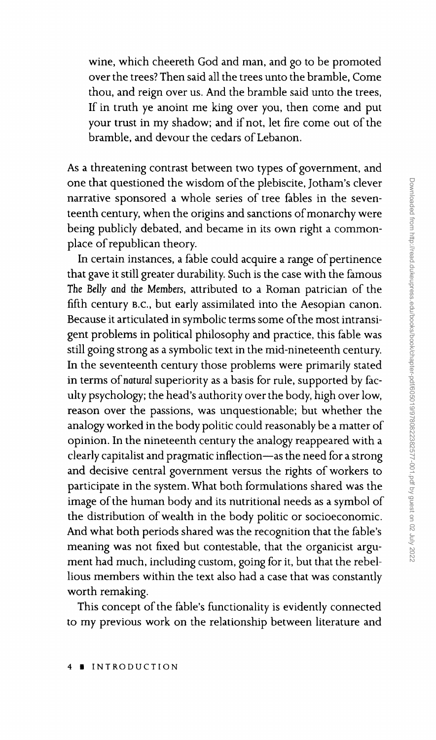wine, which cheereth God and man, and go to be promoted over the trees? Then said all the trees unto the bramble, Come thou, and reign over us. And the bramble said unto the trees, If in truth ye anoint me king over you, then come and put your trust in my shadow; and if not, let fire come out of the bramble, and devour the cedars of Lebanon.

As a threatening contrast between two types of government, and one that questioned the wisdom of the plebiscite, Jotham's clever narrative sponsored a whole series of tree fables in the seventeenth century, when the origins and sanctions of monarchy were being publicly debated, and became in its own right a commonplace of republican theory.

In certain instances, a fable could acquire a range of pertinence that gave it still greater durability. Such is the case with the famous The Belly and the Members, attributed to a Roman patrician of the fifth century B.C., but early assimilated into the Aesopian canon. Because it articulated in symbolic terms some ofthe most intransigent problems in political philosophy and practice, this fable was still going strong as a symbolic text in the mid-nineteenth century. In the seventeenth century those problems were primarily stated in terms of natural superiority as a basis for rule, supported by faculty psychology; the head's authority over the body, high over low, reason over the passions, was unquestionable; but whether the analogy worked in the body politic could reasonably be a matter of opinion. In the nineteenth century the analogy reappeared with a clearly capitalist and pragmatic inflection-as the need for a strong and decisive central government versus the rights of workers to participate in the system. What both formulations shared was the image of the human body and its nutritional needs as a symbol of the distribution of wealth in the body politic or socioeconomic. And what both periods shared was the recognition that the fable's meaning was not fixed but contestable, that the organicist argument had much, including custom, going for it, but that the rebellious members within the text also had a case that was constantly worth remaking.

This concept of the fable's functionality is evidently connected to my previous work on the relationship between literature and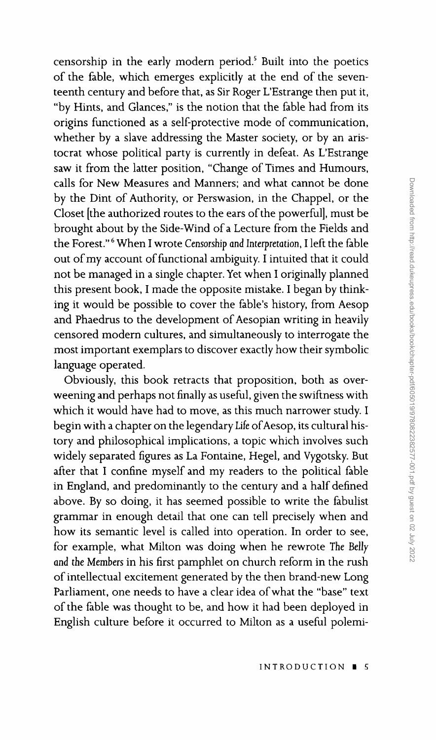censorship in the early modern period.<sup>5</sup> Built into the poetics of the fable, which emerges explicitly at the end of the seventeenth century and before that, as Sir Roger L'Estrange then put it, "by Hints, and Glances," is the notion that the fable had from its origins functioned as a self-protective mode of communication, whether by a slave addressing the Master society, or by an aristocrat whose political party is currently in defeat. As L'Estrange saw it from the latter position, "Change of Times and Humours, calls for New Measures and Manners; and what cannot be done by the Dint of Authority, or Perswasion, in the Chappel, or the Closet [the authorized routes to the ears ofthe powerful], must be brought about by the Side-Wind of a Lecture from the Fields and the Forest."<sup>6</sup> When I wrote Censorship and Interpretation, I left the fable out of my account of functional ambiguity. I intuited that it could not be managed in a single chapter. Yet when I originally planned this present book, I made the opposite mistake. I began by thinking it would be possible to cover the fable's history, from Aesop and Phaedrus to the development of Aesopian writing in heavily censored modern cultures, and simultaneously to interrogate the most important exemplars to discover exactly how their symbolic language operated.

Obviously, this book retracts that proposition, both as overweening and perhaps not finally as useful, given the swiftness with which it would have had to move, as this much narrower study. I begin with a chapter on the legendary Life of Aesop, its cultural history and philosophical implications, a topic which involves such widely separated figures as La Fontaine, Hegel, and Vygotsky. But after that I confine myself and my readers to the political fable in England, and predominantly to the century and a half defined above. By so doing, it has seemed possible to write the fabulist grammar in enough detail that one can tell precisely when and how its semantic level is called into operation. In order to see, for example, what Milton was doing when he rewrote The *Belly* and the Members in his first pamphlet on church reform in the rush of intellectual excitement generated by the then brand-new Long Parliament, one needs to have a clear idea of what the "base" text of the fable was thought to be, and how it had been deployed in English culture before it occurred to Milton as a useful polemi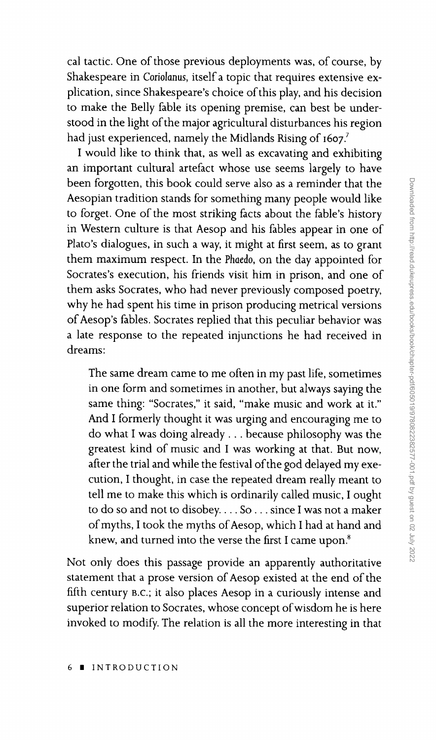cal tactic. One of those previous deployments was, of course, by Shakespeare in Coriolanus, itself a topic that requires extensive explication, since Shakespeare's choice ofthis play, and his decision to make the Belly fable its opening premise, can best be understood in the light of the major agricultural disturbances his region had just experienced, namely the Midlands Rising of 1607.

I would like to think that, as well as excavating and exhibiting an important cultural artefact whose use seems largely to have been forgotten, this book could serve also as a reminder that the Aesopian tradition stands for something many people would like to forget. One of the most striking facts about the fable's history in Western culture is that Aesop and his fables appear in one of Plato's dialogues, in such a way, it might at first seem, as to grant them maximum respect. In the Phaedo, on the day appointed for Socrates's execution, his friends visit him in prison, and one of them asks Socrates, who had never previously composed poetry, why he had spent his time in prison producing metrical versions of Aesop's fables. Socrates replied that this peculiar behavior was a late response to the repeated injunctions he had received in dreams:

The same dream came to me often in my past life, sometimes in one form and sometimes in another, but always saying the same thing: "Socrates," it said, "make music and work at it." And I formerly thought it was urging and encouraging me to do what <sup>I</sup> was doing already ... because philosophy was the greatest kind of music and I was working at that. But now, after the trial and while the festival ofthe god delayed my execution, I thought, in case the repeated dream really meant to tell me to make this which is ordinarily called music, I ought to do so and not to disobey.... So ... since <sup>I</sup> was not a maker of myths, I took the myths of Aesop, which I had at hand and knew, and turned into the verse the first I came upon.<sup>8</sup>

Not only does this passage provide an apparently authoritative statement that a prose version of Aesop existed at the end of the fifth century B.C.; it also places Aesop in a curiously intense and superior relation to Socrates, whose concept of wisdom he is here invoked to modify. The relation is all the more interesting in that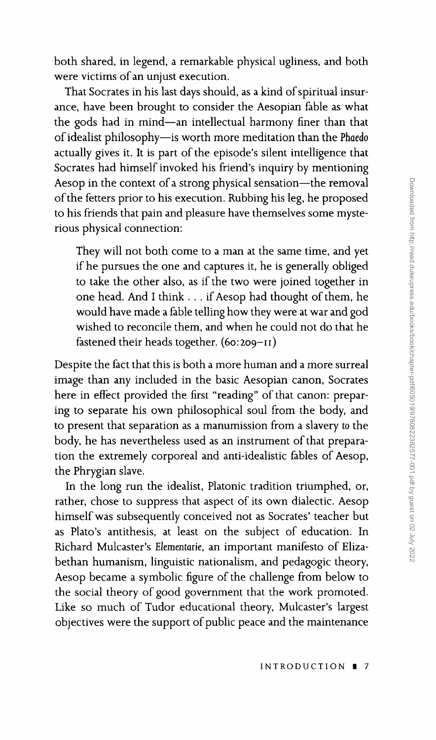both shared, in legend, a remarkable physical ugliness, and both were victims of an unjust execution.

That Socrates in his last days should, as a kind of spiritual insurance, have been brought to consider the Aesopian fable as what the gods had in mind-an intellectual harmony finer than that of idealist philosophy-is worth more meditation than the Phaedo actually gives it. It is part of the episode's silent intelligence that Socrates had himself invoked his friend's inquiry by mentioning Aesop in the context of a strong physical sensation—the removal ofthe fetters prior to his execution. Rubbing his leg, he proposed to his friends that pain and pleasure have themselves some mysterious physical connection:

They will not both come to a man at the same time, and yet if he pursues the one and captures it, he is generally obliged to take the other also, as if the two were joined together in one head. And I think . . . if Aesop had thought of them, he would have made a fable telling how they were at war and god wished to reconcile them, and when he could not do that he fastened their heads together. (6o: 209-II)

Despite the fact that this is both a more human and a more surreal image than any included in the basic Aesopian canon, Socrates here in effect provided the first "reading" of that canon: preparing to separate his own philosophical soul from the body, and to present that separation as a manumission from a slavery to the body, he has nevertheless used as an instrument of that preparation the extremely corporeal and anti-idealistic fables of Aesop, the Phrygian slave.

In the long run the idealist, Platonic tradition triumphed, or, rather, chose to suppress that aspect of its own dialectic. Aesop himself was subsequently conceived not as Socrates' teacher but as Plato's antithesis, at least on the subject of education. In Richard Mulcaster's Elementarie, an important manifesto of Elizabethan humanism, linguistic nationalism, and pedagogic theory, Aesop became a symbolic figure of the challenge from below to the social theory of good government that the work promoted. Like so much of Tudor educational theory, Mulcaster's largest objectives were the support of public peace and the maintenance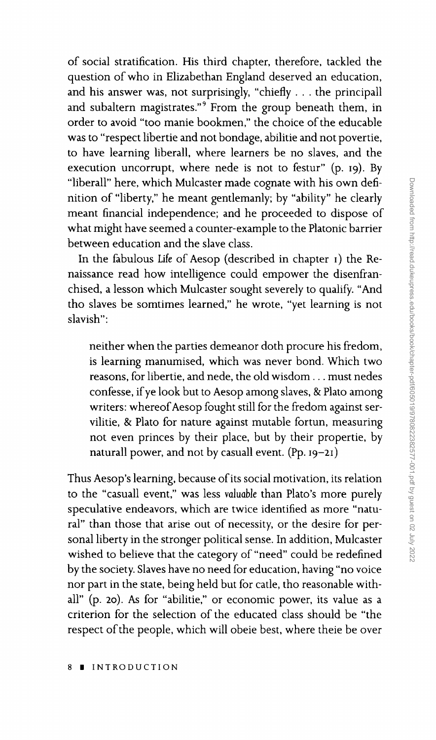of social stratification. His third chapter, therefore, tackled the question of who in Elizabethan England deserved an education, and his answer was, not surprisingly, "chiefly ... the principall and subaltern magistrates."<sup>9</sup> From the group beneath them, in order to avoid "too manie bookmen," the choice of the educable was to "respect libertie and not bondage, abilitie and not povertie, to have learning liberall, where learners be no slaves, and the execution uncorrupt, where nede is not to festur" (p. 19). By "liberall" here, which Mulcaster made cognate with his own definition of "liberty," he meant gentlemanly; by "ability" he clearly meant financial independence; and he proceeded to dispose of what might have seemed a counter-example to the Platonic barrier between education and the slave class.

In the fabulous Life of Aesop (described in chapter I) the Renaissance read how intelligence could empower the disenfranchised, a lesson which Mulcaster sought severely to qualify. "And tho slaves be somtimes learned," he wrote, "yet learning is not slavish":

neither when the parties demeanor doth procure his fredom, is learning manumised, which was never bond. Which two reasons, for libertie, and nede, the old wisdom ... must nedes confesse, if ye look but to Aesop among slaves, & Plato among writers: whereof Aesop fought still for the fredom against servilitie, & Plato for nature against mutable fortun, measuring not even princes by their place, but by their propertie, by naturall power, and not by casuall event. (Pp. 19-21)

Thus Aesop's learning, because of its social motivation, its relation to the "casuall event," was less valuable than Plato's more purely speculative endeavors, which are twice identified as more "natural" than those that arise out of necessity, or the desire for personal liberty in the stronger political sense. In addition, Mulcaster wished to believe that the category of "need" could be redefined by the society. Slaves have no need for education, having "no voice nor part in the state, being held but for catle, tho reasonable withall" (p. 20). As for "abilitie," or economic power, its value as a criterion for the selection of the educated class should be "the respect of the people, which will obeie best, where theie be over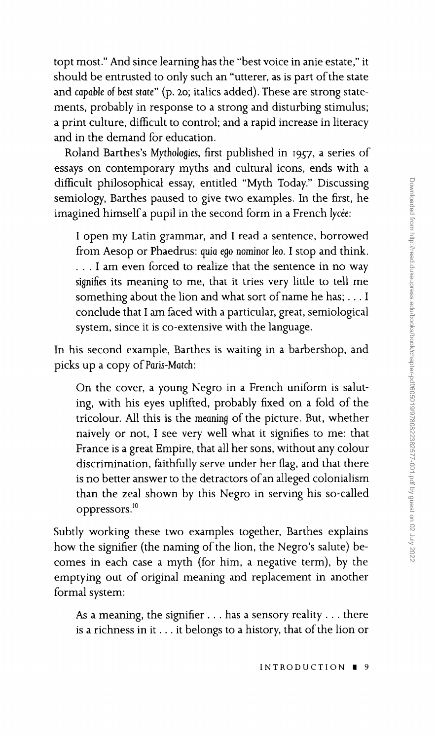topt most." And since learning has the "best voice in anie estate," it should be entrusted to only such an "utterer, as is part of the state and capable of best state" (p. 20; italics added). These are strong statements, probably in response to a strong and disturbing stimulus; a print culture, difficult to control; and a rapid increase in literacy and in the demand for education.

Roland Barthes's Mythologies, first published in 1957, a series of essays on contemporary myths and cultural icons, ends with a difficult philosophical essay, entitled "Myth Today." Discussing semiology, Barthes paused to give two examples. In the first, he imagined himself a pupil in the second form in a French lycée:

I open my Latin grammar, and I read a sentence, borrowed from Aesop or Phaedrus: quia ego nominor leo. I stop and think. . . . I am even forced to realize that the sentence in no way signifies its meaning to me, that it tries very little to tell me something about the lion and what sort of name he has; . . . I conclude that I am faced with a particular, great, semiological system, since it is co-extensive with the language.

In his second example, Barthes is waiting in a barbershop, and picks up a copy of Paris-Match:

On the cover, a young Negro in a French uniform is saluting, with his eyes uplifted, probably fixed on a fold of the tricolour. All this is the meaning of the picture. But, whether naively or not, I see very well what it signifies to me: that France is a great Empire, that all her sons, without any colour discrimination, faithfully serve under her flag, and that there is no better answer to the detractors of an alleged colonialism than the zeal shown by this Negro in serving his so-called oppressors.<sup>10</sup>

Subtly working these two examples together, Barthes explains how the signifier (the naming of the lion, the Negro's salute) becomes in each case a myth (for him, a negative term), by the emptying out of original meaning and replacement in another formal system:

As a meaning, the signifier ... has a sensory reality ... there is a richness in it  $\dots$  it belongs to a history, that of the lion or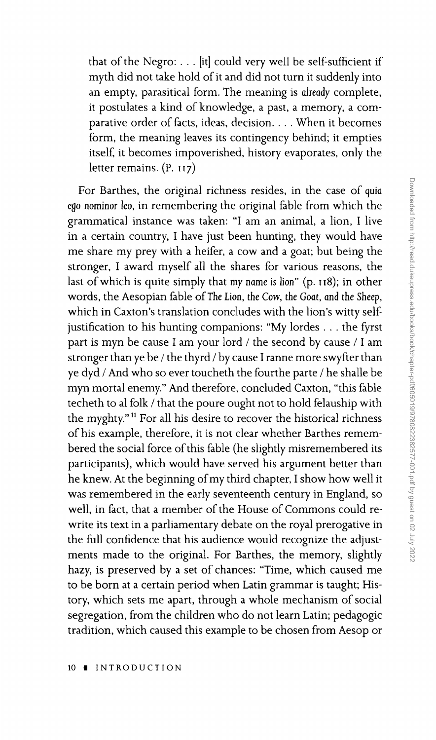that of the Negro: ... [it] could very well be self-sufficient if myth did not take hold of it and did not turn it suddenly into an empty, parasitical form. The meaning is already complete, it postulates a kind of knowledge, a past, a memory, a comparative order of facts, ideas, decision.... When it becomes form, the meaning leaves its contingency behind; it empties itself, it becomes impoverished, history evaporates, only the letter remains. (P. 117)

For Barthes, the original richness resides, in the case of quia ego nominor leo, in remembering the original fable from which the grammatical instance was taken: "I am an animal, a lion, I live in a certain country, I have just been hunting, they would have me share my prey with a heifer, a cow and a goat; but being the stronger, I award myself all the shares for various reasons, the last of which is quite simply that my name is lion" (p. 118); in other words, the Aesopian fable of The Lion, the Cow, the Goat, and the Sheep, which in Caxton's translation concludes with the lion's witty selfjustification to his hunting companions: "My lordes ... the fyrst part is myn be cause I am your lord / the second by cause / I am stronger than ye be / the thyrd / by cause I ranne more swyfter than ye dyd / And who so ever toucheth the fourthe parte / he shalle be myn mortal enemy." And therefore, concluded Caxton, "this fable techeth to al folk / that the poure ought not to hold felauship with the myghty."<sup>11</sup> For all his desire to recover the historical richness of his example, therefore, it is not clear whether Barthes remembered the social force of this fable (he slightly misremembered its participants), which would have served his argument better than he knew. At the beginning of my third chapter, I show how well it was remembered in the early seventeenth century in England, so well, in fact, that a member of the House of Commons could rewrite its text in a parliamentary debate on the royal prerogative in the full confidence that his audience would recognize the adjustments made to the original. For Barthes, the memory, slightly hazy, is preserved by a set of chances: "Time, which caused me to be born at a certain period when Latin grammar is taught; History, which sets me apart, through a whole mechanism of social segregation, from the children who do not learn Latin; pedagogic tradition, which caused this example to be chosen from Aesop or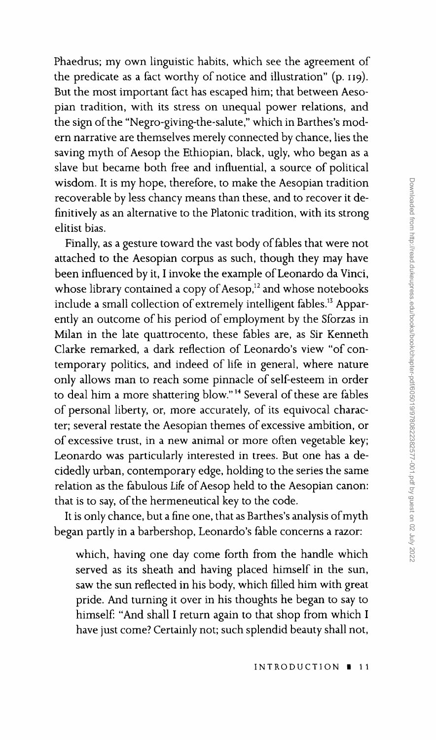Phaedrus; my own linguistic habits, which see the agreement of the predicate as a fact worthy of notice and illustration" (p. 119). But the most important fact has escaped him; that between Aesopian tradition, with its stress on unequal power relations, and the sign of the "Negro-giving-the-salute," which in Barthes's modern narrative are themselves merely connected by chance, lies the saving myth of Aesop the Ethiopian, black, ugly, who began as a slave but became both free and influential, a source of political wisdom. It is my hope, therefore, to make the Aesopian tradition recoverable by less chancy means than these, and to recover it definitively as an alternative to the Platonic tradition, with its strong elitist bias.

Finally, as a gesture toward the vast body of fables that were not attached to the Aesopian corpus as such, though they may have been influenced by it, I invoke the example of Leonardo da Vinci, whose library contained a copy of  $Aesop,12$  and whose notebooks include a small collection of extremely intelligent fables.<sup>13</sup> Apparently an outcome of his period of employment by the Sforzas in Milan in the late quattrocento, these fables are, as Sir Kenneth Clarke remarked, a dark reflection of Leonardo's view "of contemporary politics, and indeed of life in general, where nature only allows man to reach some pinnacle of self-esteem in order to deal him a more shattering blow."<sup>14</sup> Several of these are fables of personal liberty, or, more accurately, of its equivocal character; several restate the Aesopian themes of excessive ambition, or of excessive trust, in a new animal or more often vegetable key; Leonardo was particularly interested in trees. But one has a decidedly urban, contemporary edge, holding to the series the same relation as the fabulous Life of Aesop held to the Aesopian canon: that is to say, of the hermeneutical key to the code.

It is only chance, but a fine one, that as Barthes's analysis ofmyth began partly in a barbershop, Leonardo's fable concerns a razor:

which, having one day come forth from the handle which served as its sheath and having placed himself in the sun, saw the sun reflected in his body, which filled him with great pride. And turning it over in his thoughts he began to say to himself: "And shall I return again to that shop from which I have just come? Certainly not; such splendid beauty shall not,